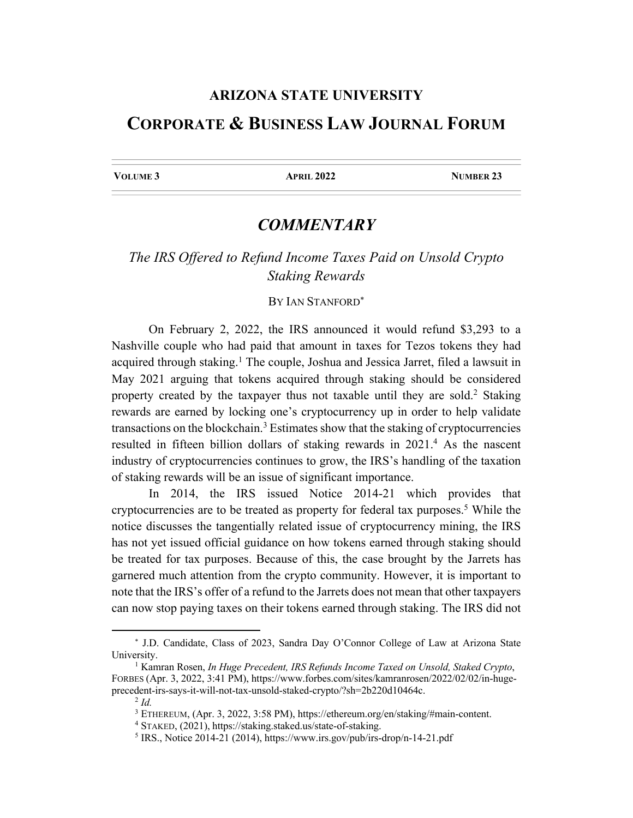## **ARIZONA STATE UNIVERSITY CORPORATE & BUSINESS LAW JOURNAL FORUM**

**VOLUME 3** APRIL 2022 NUMBER 23

## *COMMENTARY*

## *The IRS Offered to Refund Income Taxes Paid on Unsold Crypto Staking Rewards*

## BY IAN STANFORD\*

On February 2, 2022, the IRS announced it would refund \$3,293 to a Nashville couple who had paid that amount in taxes for Tezos tokens they had acquired through staking.<sup>1</sup> The couple, Joshua and Jessica Jarret, filed a lawsuit in May 2021 arguing that tokens acquired through staking should be considered property created by the taxpayer thus not taxable until they are sold.<sup>2</sup> Staking rewards are earned by locking one's cryptocurrency up in order to help validate transactions on the blockchain.<sup>3</sup> Estimates show that the staking of cryptocurrencies resulted in fifteen billion dollars of staking rewards in 2021.<sup>4</sup> As the nascent industry of cryptocurrencies continues to grow, the IRS's handling of the taxation of staking rewards will be an issue of significant importance.

In 2014, the IRS issued Notice 2014-21 which provides that cryptocurrencies are to be treated as property for federal tax purposes.<sup>5</sup> While the notice discusses the tangentially related issue of cryptocurrency mining, the IRS has not yet issued official guidance on how tokens earned through staking should be treated for tax purposes. Because of this, the case brought by the Jarrets has garnered much attention from the crypto community. However, it is important to note that the IRS's offer of a refund to the Jarrets does not mean that other taxpayers can now stop paying taxes on their tokens earned through staking. The IRS did not

<sup>\*</sup> J.D. Candidate, Class of 2023, Sandra Day O'Connor College of Law at Arizona State University.

<sup>1</sup> Kamran Rosen, *In Huge Precedent, IRS Refunds Income Taxed on Unsold, Staked Crypto*, FORBES (Apr. 3, 2022, 3:41 PM), https://www.forbes.com/sites/kamranrosen/2022/02/02/in-hugeprecedent-irs-says-it-will-not-tax-unsold-staked-crypto/?sh=2b220d10464c.

<sup>2</sup> *Id.*

<sup>3</sup> ETHEREUM, (Apr. 3, 2022, 3:58 PM), https://ethereum.org/en/staking/#main-content.

<sup>4</sup> STAKED, (2021), https://staking.staked.us/state-of-staking.

<sup>5</sup> IRS., Notice 2014-21 (2014), https://www.irs.gov/pub/irs-drop/n-14-21.pdf